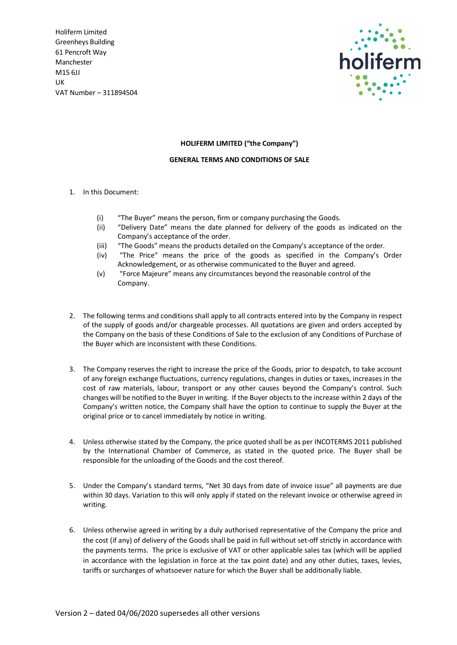

## **HOLIFERM LIMITED ("the Company")**

## **GENERAL TERMS AND CONDITIONS OF SALE**

- 1. In this Document:
	- (i) "The Buyer" means the person, firm or company purchasing the Goods.
	- (ii) "Delivery Date" means the date planned for delivery of the goods as indicated on the Company's acceptance of the order.
	- (iii) "The Goods" means the products detailed on the Company's acceptance of the order.
	- (iv) "The Price" means the price of the goods as specified in the Company's Order Acknowledgement, or as otherwise communicated to the Buyer and agreed.
	- (v) "Force Majeure" means any circumstances beyond the reasonable control of the Company.
- 2. The following terms and conditions shall apply to all contracts entered into by the Company in respect of the supply of goods and/or chargeable processes. All quotations are given and orders accepted by the Company on the basis of these Conditions of Sale to the exclusion of any Conditions of Purchase of the Buyer which are inconsistent with these Conditions.
- 3. The Company reserves the right to increase the price of the Goods, prior to despatch, to take account of any foreign exchange fluctuations, currency regulations, changes in duties or taxes, increases in the cost of raw materials, labour, transport or any other causes beyond the Company's control. Such changes will be notified to the Buyer in writing. If the Buyer objects to the increase within 2 days of the Company's written notice, the Company shall have the option to continue to supply the Buyer at the original price or to cancel immediately by notice in writing.
- 4. Unless otherwise stated by the Company, the price quoted shall be as per INCOTERMS 2011 published by the International Chamber of Commerce, as stated in the quoted price. The Buyer shall be responsible for the unloading of the Goods and the cost thereof.
- 5. Under the Company's standard terms, "Net 30 days from date of invoice issue" all payments are due within 30 days. Variation to this will only apply if stated on the relevant invoice or otherwise agreed in writing.
- 6. Unless otherwise agreed in writing by a duly authorised representative of the Company the price and the cost (if any) of delivery of the Goods shall be paid in full without set-off strictly in accordance with the payments terms. The price is exclusive of VAT or other applicable sales tax (which will be applied in accordance with the legislation in force at the tax point date) and any other duties, taxes, levies, tariffs or surcharges of whatsoever nature for which the Buyer shall be additionally liable.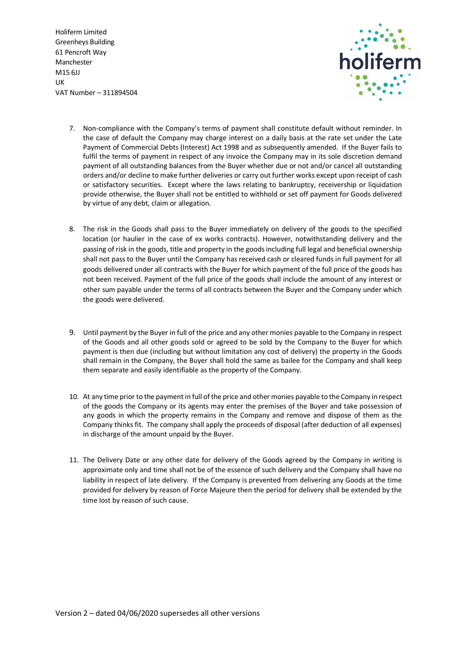

- 7. Non-compliance with the Company's terms of payment shall constitute default without reminder. In the case of default the Company may charge interest on a daily basis at the rate set under the Late Payment of Commercial Debts (Interest) Act 1998 and as subsequently amended. If the Buyer fails to fulfil the terms of payment in respect of any invoice the Company may in its sole discretion demand payment of all outstanding balances from the Buyer whether due or not and/or cancel all outstanding orders and/or decline to make further deliveries or carry out further works except upon receipt of cash or satisfactory securities. Except where the laws relating to bankruptcy, receivership or liquidation provide otherwise, the Buyer shall not be entitled to withhold or set off payment for Goods delivered by virtue of any debt, claim or allegation.
- 8. The risk in the Goods shall pass to the Buyer immediately on delivery of the goods to the specified location (or haulier in the case of ex works contracts). However, notwithstanding delivery and the passing of risk in the goods, title and property in the goods including full legal and beneficial ownership shall not pass to the Buyer until the Company has received cash or cleared funds in full payment for all goods delivered under all contracts with the Buyer for which payment of the full price of the goods has not been received. Payment of the full price of the goods shall include the amount of any interest or other sum payable under the terms of all contracts between the Buyer and the Company under which the goods were delivered.
- 9. Until payment by the Buyer in full of the price and any other monies payable to the Company in respect of the Goods and all other goods sold or agreed to be sold by the Company to the Buyer for which payment is then due (including but without limitation any cost of delivery) the property in the Goods shall remain in the Company, the Buyer shall hold the same as bailee for the Company and shall keep them separate and easily identifiable as the property of the Company.
- 10. At any time prior to the payment in full of the price and other monies payable to the Company in respect of the goods the Company or its agents may enter the premises of the Buyer and take possession of any goods in which the property remains in the Company and remove and dispose of them as the Company thinks fit. The company shall apply the proceeds of disposal (after deduction of all expenses) in discharge of the amount unpaid by the Buyer.
- 11. The Delivery Date or any other date for delivery of the Goods agreed by the Company in writing is approximate only and time shall not be of the essence of such delivery and the Company shall have no liability in respect of late delivery. If the Company is prevented from delivering any Goods at the time provided for delivery by reason of Force Majeure then the period for delivery shall be extended by the time lost by reason of such cause.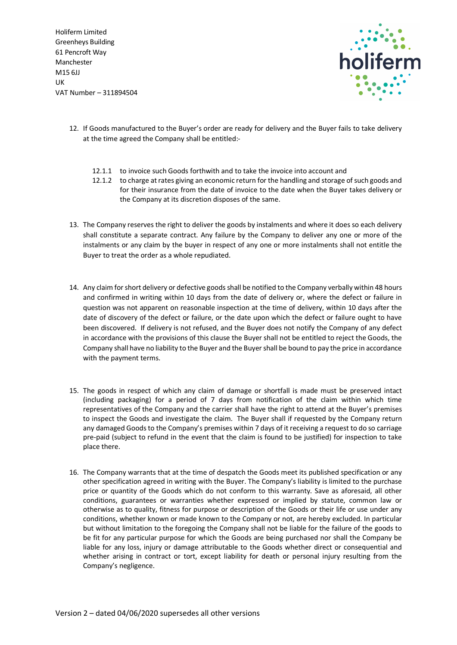

- 12. If Goods manufactured to the Buyer's order are ready for delivery and the Buyer fails to take delivery at the time agreed the Company shall be entitled:-
	- 12.1.1 to invoice such Goods forthwith and to take the invoice into account and
	- 12.1.2 to charge at rates giving an economic return for the handling and storage of such goods and for their insurance from the date of invoice to the date when the Buyer takes delivery or the Company at its discretion disposes of the same.
- 13. The Company reserves the right to deliver the goods by instalments and where it does so each delivery shall constitute a separate contract. Any failure by the Company to deliver any one or more of the instalments or any claim by the buyer in respect of any one or more instalments shall not entitle the Buyer to treat the order as a whole repudiated.
- 14. Any claim for short delivery or defective goods shall be notified to the Company verbally within 48 hours and confirmed in writing within 10 days from the date of delivery or, where the defect or failure in question was not apparent on reasonable inspection at the time of delivery, within 10 days after the date of discovery of the defect or failure, or the date upon which the defect or failure ought to have been discovered. If delivery is not refused, and the Buyer does not notify the Company of any defect in accordance with the provisions of this clause the Buyer shall not be entitled to reject the Goods, the Company shall have no liability to the Buyer and the Buyer shall be bound to pay the price in accordance with the payment terms.
- 15. The goods in respect of which any claim of damage or shortfall is made must be preserved intact (including packaging) for a period of 7 days from notification of the claim within which time representatives of the Company and the carrier shall have the right to attend at the Buyer's premises to inspect the Goods and investigate the claim. The Buyer shall if requested by the Company return any damaged Goods to the Company's premises within 7 days of it receiving a request to do so carriage pre-paid (subject to refund in the event that the claim is found to be justified) for inspection to take place there.
- 16. The Company warrants that at the time of despatch the Goods meet its published specification or any other specification agreed in writing with the Buyer. The Company's liability is limited to the purchase price or quantity of the Goods which do not conform to this warranty. Save as aforesaid, all other conditions, guarantees or warranties whether expressed or implied by statute, common law or otherwise as to quality, fitness for purpose or description of the Goods or their life or use under any conditions, whether known or made known to the Company or not, are hereby excluded. In particular but without limitation to the foregoing the Company shall not be liable for the failure of the goods to be fit for any particular purpose for which the Goods are being purchased nor shall the Company be liable for any loss, injury or damage attributable to the Goods whether direct or consequential and whether arising in contract or tort, except liability for death or personal injury resulting from the Company's negligence.